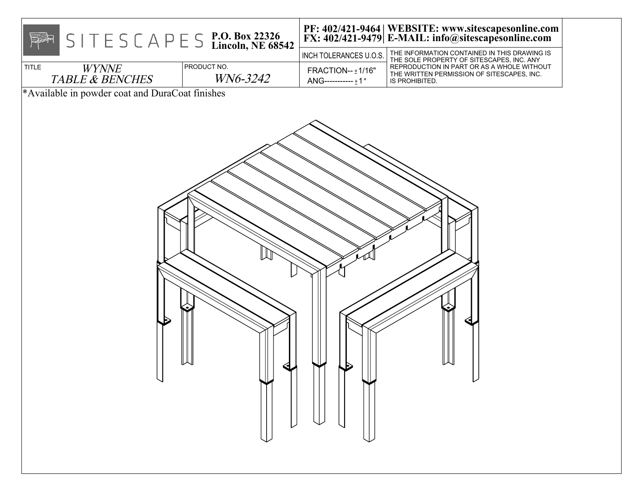| <b>TITLE</b><br><b>WYNNE</b><br><b>TABLE &amp; BENCHES</b><br>*Available in powder coat and DuraCoat finishes | $S \mid T \in S \subset A \cap E \subseteq S$ P.O. Box 22326<br>Lincoln, NE 68542<br>PRODUCT NO.<br>WN6-3242 | INCH TOLERANCES U.O.S.<br>FRACTION-- ±1/16"<br>ANG-----------±1° | PF: 402/421-9464   WEBSITE: www.sitescapesonline.com<br>FX: 402/421-9479   E-MAIL: info@sitescapesonline.com<br>THE INFORMATION CONTAINED IN THIS DRAWING IS<br>THE SOLE PROPERTY OF SITESCAPES, INC. ANY<br>REPRODUCTION IN PART OR AS A WHOLE WITHOUT<br>THE WRITTEN PERMISSION OF SITESCAPES, INC.<br>IS PROHIBITED. |
|---------------------------------------------------------------------------------------------------------------|--------------------------------------------------------------------------------------------------------------|------------------------------------------------------------------|-------------------------------------------------------------------------------------------------------------------------------------------------------------------------------------------------------------------------------------------------------------------------------------------------------------------------|
|                                                                                                               |                                                                                                              |                                                                  |                                                                                                                                                                                                                                                                                                                         |